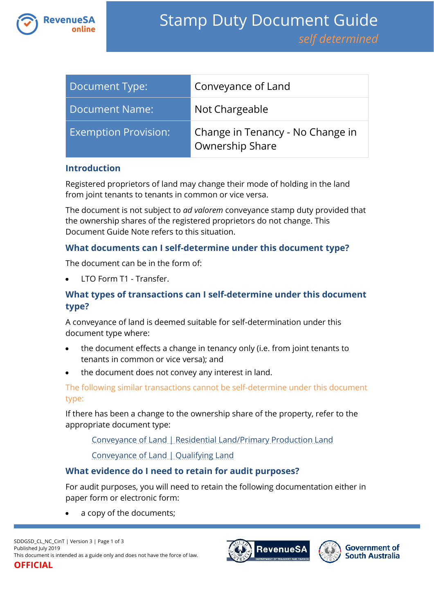

| Document Type:              | Conveyance of Land                                  |
|-----------------------------|-----------------------------------------------------|
| Document Name:              | Not Chargeable                                      |
| <b>Exemption Provision:</b> | Change in Tenancy - No Change in<br>Ownership Share |

### **Introduction**

Registered proprietors of land may change their mode of holding in the land from joint tenants to tenants in common or vice versa.

The document is not subject to *ad valorem* conveyance stamp duty provided that the ownership shares of the registered proprietors do not change. This Document Guide Note refers to this situation.

### **What documents can I self-determine under this document type?**

The document can be in the form of:

LTO Form T1 - Transfer.

# **What types of transactions can I self-determine under this document type?**

A conveyance of land is deemed suitable for self-determination under this document type where:

- the document effects a change in tenancy only (i.e. from joint tenants to tenants in common or vice versa); and
- the document does not convey any interest in land.

The following similar transactions cannot be self-determine under this document type:

If there has been a change to the ownership share of the property, refer to the appropriate document type:

[Conveyance of Land | Residential Land/Primary Production Land](https://www.revenuesa.sa.gov.au/stampduty/stamp-duty-document-guide/self-determined/conveyance-of-land/sddgsd_cl_rpp)

[Conveyance of Land | Qualifying Land](https://www.revenuesa.sa.gov.au/stampduty/stamp-duty-document-guide/self-determined/conveyance-of-land/sddgsd_cl_ql)

## **What evidence do I need to retain for audit purposes?**

For audit purposes, you will need to retain the following documentation either in paper form or electronic form:

a copy of the documents;



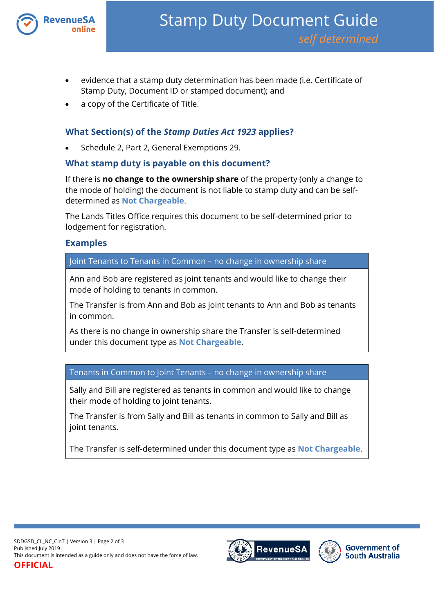

- evidence that a stamp duty determination has been made (i.e. Certificate of Stamp Duty, Document ID or stamped document); and
- a copy of the Certificate of Title.

# **What Section(s) of the** *Stamp Duties Act 1923* **applies?**

Schedule 2, Part 2, General Exemptions 29.

### **What stamp duty is payable on this document?**

If there is **no change to the ownership share** of the property (only a change to the mode of holding) the document is not liable to stamp duty and can be selfdetermined as **Not Chargeable**.

The Lands Titles Office requires this document to be self-determined prior to lodgement for registration.

### **Examples**

Joint Tenants to Tenants in Common – no change in ownership share

Ann and Bob are registered as joint tenants and would like to change their mode of holding to tenants in common.

The Transfer is from Ann and Bob as joint tenants to Ann and Bob as tenants in common.

As there is no change in ownership share the Transfer is self-determined under this document type as **Not Chargeable**.

Tenants in Common to Joint Tenants – no change in ownership share

Sally and Bill are registered as tenants in common and would like to change their mode of holding to joint tenants.

The Transfer is from Sally and Bill as tenants in common to Sally and Bill as joint tenants.

The Transfer is self-determined under this document type as **Not Chargeable**.